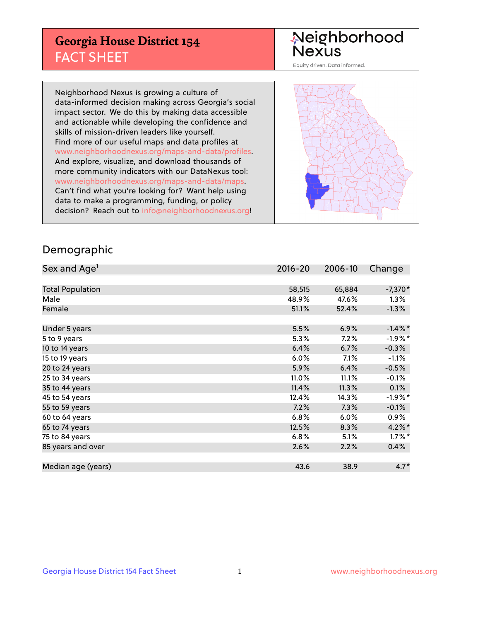## **Georgia House District 154** FACT SHEET

# Neighborhood<br>Nexus

Equity driven. Data informed.

Neighborhood Nexus is growing a culture of data-informed decision making across Georgia's social impact sector. We do this by making data accessible and actionable while developing the confidence and skills of mission-driven leaders like yourself. Find more of our useful maps and data profiles at www.neighborhoodnexus.org/maps-and-data/profiles. And explore, visualize, and download thousands of more community indicators with our DataNexus tool: www.neighborhoodnexus.org/maps-and-data/maps. Can't find what you're looking for? Want help using data to make a programming, funding, or policy decision? Reach out to [info@neighborhoodnexus.org!](mailto:info@neighborhoodnexus.org)



### Demographic

| Sex and Age <sup>1</sup> | $2016 - 20$ | 2006-10 | Change     |
|--------------------------|-------------|---------|------------|
|                          |             |         |            |
| <b>Total Population</b>  | 58,515      | 65,884  | $-7,370*$  |
| Male                     | 48.9%       | 47.6%   | $1.3\%$    |
| Female                   | 51.1%       | 52.4%   | $-1.3\%$   |
|                          |             |         |            |
| Under 5 years            | 5.5%        | 6.9%    | $-1.4\%$ * |
| 5 to 9 years             | 5.3%        | 7.2%    | $-1.9%$ *  |
| 10 to 14 years           | 6.4%        | 6.7%    | $-0.3%$    |
| 15 to 19 years           | 6.0%        | 7.1%    | $-1.1%$    |
| 20 to 24 years           | 5.9%        | 6.4%    | $-0.5%$    |
| 25 to 34 years           | 11.0%       | 11.1%   | $-0.1%$    |
| 35 to 44 years           | 11.4%       | 11.3%   | 0.1%       |
| 45 to 54 years           | 12.4%       | 14.3%   | $-1.9%$ *  |
| 55 to 59 years           | 7.2%        | 7.3%    | $-0.1%$    |
| 60 to 64 years           | 6.8%        | 6.0%    | $0.9\%$    |
| 65 to 74 years           | 12.5%       | 8.3%    | $4.2\%$ *  |
| 75 to 84 years           | 6.8%        | 5.1%    | $1.7\%$ *  |
| 85 years and over        | 2.6%        | 2.2%    | 0.4%       |
|                          |             |         |            |
| Median age (years)       | 43.6        | 38.9    | $4.7*$     |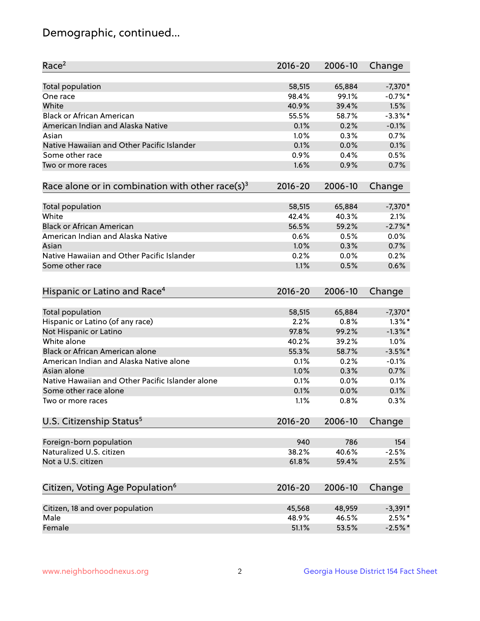## Demographic, continued...

| Race <sup>2</sup>                                            | $2016 - 20$ | 2006-10 | Change     |
|--------------------------------------------------------------|-------------|---------|------------|
| <b>Total population</b>                                      | 58,515      | 65,884  | $-7,370*$  |
| One race                                                     | 98.4%       | 99.1%   | $-0.7%$ *  |
| White                                                        | 40.9%       | 39.4%   | 1.5%       |
| <b>Black or African American</b>                             | 55.5%       | 58.7%   | $-3.3\%$ * |
| American Indian and Alaska Native                            | 0.1%        | 0.2%    | $-0.1%$    |
| Asian                                                        | 1.0%        | 0.3%    | 0.7%       |
| Native Hawaiian and Other Pacific Islander                   | 0.1%        | 0.0%    | 0.1%       |
| Some other race                                              | 0.9%        | 0.4%    | 0.5%       |
| Two or more races                                            | 1.6%        | 0.9%    | 0.7%       |
| Race alone or in combination with other race(s) <sup>3</sup> | $2016 - 20$ | 2006-10 | Change     |
| Total population                                             | 58,515      | 65,884  | $-7,370*$  |
| White                                                        | 42.4%       | 40.3%   | 2.1%       |
| <b>Black or African American</b>                             | 56.5%       | 59.2%   | $-2.7%$ *  |
| American Indian and Alaska Native                            | 0.6%        | 0.5%    | 0.0%       |
| Asian                                                        | 1.0%        | 0.3%    | 0.7%       |
| Native Hawaiian and Other Pacific Islander                   | 0.2%        | 0.0%    | 0.2%       |
| Some other race                                              | 1.1%        | 0.5%    | 0.6%       |
|                                                              |             |         |            |
| Hispanic or Latino and Race <sup>4</sup>                     | $2016 - 20$ | 2006-10 | Change     |
| <b>Total population</b>                                      | 58,515      | 65,884  | $-7,370*$  |
| Hispanic or Latino (of any race)                             | 2.2%        | 0.8%    | $1.3\%$ *  |
| Not Hispanic or Latino                                       | 97.8%       | 99.2%   | $-1.3\%$ * |
| White alone                                                  | 40.2%       | 39.2%   | 1.0%       |
| <b>Black or African American alone</b>                       | 55.3%       | 58.7%   | $-3.5%$ *  |
| American Indian and Alaska Native alone                      | 0.1%        | 0.2%    | $-0.1%$    |
| Asian alone                                                  | 1.0%        | 0.3%    | 0.7%       |
| Native Hawaiian and Other Pacific Islander alone             | 0.1%        | 0.0%    | 0.1%       |
| Some other race alone                                        | 0.1%        | 0.0%    | 0.1%       |
| Two or more races                                            | 1.1%        | 0.8%    | 0.3%       |
| U.S. Citizenship Status <sup>5</sup>                         | $2016 - 20$ | 2006-10 | Change     |
|                                                              | 940         | 786     | 154        |
| Foreign-born population<br>Naturalized U.S. citizen          | 38.2%       | 40.6%   | $-2.5%$    |
| Not a U.S. citizen                                           | 61.8%       | 59.4%   | 2.5%       |
|                                                              |             |         |            |
| Citizen, Voting Age Population <sup>6</sup>                  | $2016 - 20$ | 2006-10 | Change     |
| Citizen, 18 and over population                              | 45,568      | 48,959  | $-3,391*$  |
| Male                                                         | 48.9%       | 46.5%   | $2.5%$ *   |
| Female                                                       | 51.1%       | 53.5%   | $-2.5%$ *  |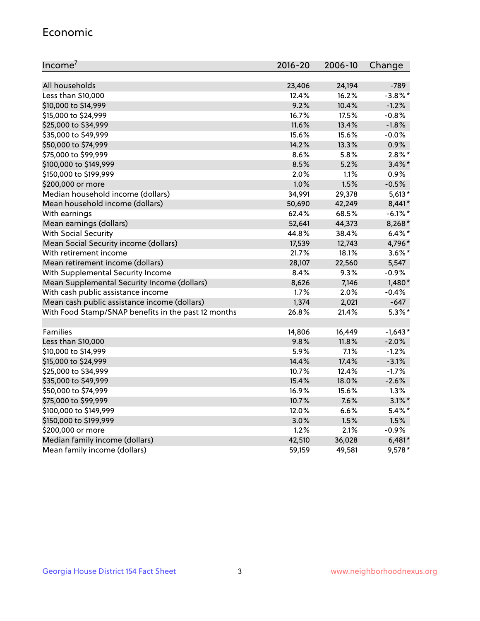#### Economic

| Income <sup>7</sup>                                 | $2016 - 20$ | 2006-10 | Change     |
|-----------------------------------------------------|-------------|---------|------------|
|                                                     |             |         |            |
| All households                                      | 23,406      | 24,194  | $-789$     |
| Less than \$10,000                                  | 12.4%       | 16.2%   | $-3.8\%$ * |
| \$10,000 to \$14,999                                | 9.2%        | 10.4%   | $-1.2%$    |
| \$15,000 to \$24,999                                | 16.7%       | 17.5%   | $-0.8%$    |
| \$25,000 to \$34,999                                | 11.6%       | 13.4%   | $-1.8%$    |
| \$35,000 to \$49,999                                | 15.6%       | 15.6%   | $-0.0%$    |
| \$50,000 to \$74,999                                | 14.2%       | 13.3%   | 0.9%       |
| \$75,000 to \$99,999                                | 8.6%        | 5.8%    | $2.8\%$ *  |
| \$100,000 to \$149,999                              | 8.5%        | 5.2%    | $3.4\%$ *  |
| \$150,000 to \$199,999                              | 2.0%        | 1.1%    | 0.9%       |
| \$200,000 or more                                   | 1.0%        | 1.5%    | $-0.5%$    |
| Median household income (dollars)                   | 34,991      | 29,378  | $5,613*$   |
| Mean household income (dollars)                     | 50,690      | 42,249  | 8,441*     |
| With earnings                                       | 62.4%       | 68.5%   | $-6.1\%$ * |
| Mean earnings (dollars)                             | 52,641      | 44,373  | 8,268*     |
| <b>With Social Security</b>                         | 44.8%       | 38.4%   | $6.4\%$ *  |
| Mean Social Security income (dollars)               | 17,539      | 12,743  | 4,796*     |
| With retirement income                              | 21.7%       | 18.1%   | $3.6\%$ *  |
| Mean retirement income (dollars)                    | 28,107      | 22,560  | 5,547      |
| With Supplemental Security Income                   | $8.4\%$     | $9.3\%$ | $-0.9%$    |
| Mean Supplemental Security Income (dollars)         | 8,626       | 7,146   | $1,480*$   |
| With cash public assistance income                  | 1.7%        | 2.0%    | $-0.4%$    |
| Mean cash public assistance income (dollars)        | 1,374       | 2,021   | $-647$     |
| With Food Stamp/SNAP benefits in the past 12 months | 26.8%       | 21.4%   | $5.3\%$ *  |
|                                                     |             |         |            |
| Families                                            | 14,806      | 16,449  | $-1,643*$  |
| Less than \$10,000                                  | 9.8%        | 11.8%   | $-2.0%$    |
| \$10,000 to \$14,999                                | 5.9%        | 7.1%    | $-1.2%$    |
| \$15,000 to \$24,999                                | 14.4%       | 17.4%   | $-3.1%$    |
| \$25,000 to \$34,999                                | 10.7%       | 12.4%   | $-1.7%$    |
| \$35,000 to \$49,999                                | 15.4%       | 18.0%   | $-2.6%$    |
| \$50,000 to \$74,999                                | 16.9%       | 15.6%   | 1.3%       |
| \$75,000 to \$99,999                                | 10.7%       | 7.6%    | $3.1\%$ *  |
| \$100,000 to \$149,999                              | 12.0%       | 6.6%    | $5.4\%$ *  |
| \$150,000 to \$199,999                              | 3.0%        | 1.5%    | 1.5%       |
| \$200,000 or more                                   | 1.2%        | 2.1%    | $-0.9%$    |
| Median family income (dollars)                      | 42,510      | 36,028  | $6,481*$   |
| Mean family income (dollars)                        | 59,159      | 49,581  | 9,578*     |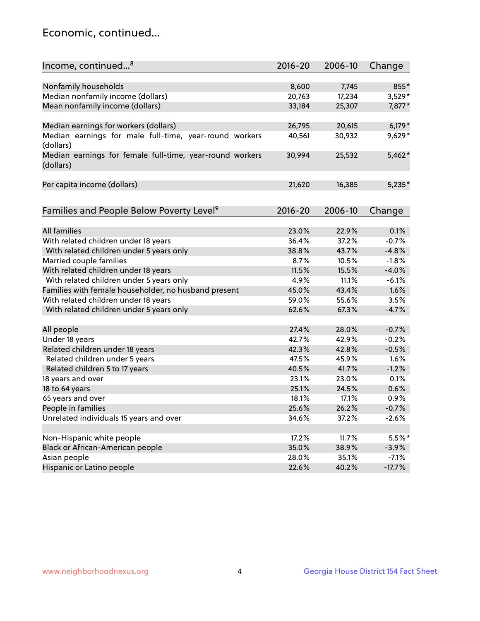## Economic, continued...

| Income, continued <sup>8</sup>                           | 2016-20 | 2006-10 | Change   |
|----------------------------------------------------------|---------|---------|----------|
|                                                          |         |         |          |
| Nonfamily households                                     | 8,600   | 7,745   | 855*     |
| Median nonfamily income (dollars)                        | 20,763  | 17,234  | $3,529*$ |
| Mean nonfamily income (dollars)                          | 33,184  | 25,307  | 7,877*   |
|                                                          |         |         |          |
| Median earnings for workers (dollars)                    | 26,795  | 20,615  | $6,179*$ |
| Median earnings for male full-time, year-round workers   | 40,561  | 30,932  | 9,629*   |
| (dollars)                                                |         |         |          |
| Median earnings for female full-time, year-round workers | 30,994  | 25,532  | $5,462*$ |
| (dollars)                                                |         |         |          |
|                                                          |         |         |          |
| Per capita income (dollars)                              | 21,620  | 16,385  | $5,235*$ |
|                                                          |         |         |          |
| Families and People Below Poverty Level <sup>9</sup>     | 2016-20 | 2006-10 | Change   |
|                                                          |         |         |          |
| <b>All families</b>                                      | 23.0%   | 22.9%   | 0.1%     |
| With related children under 18 years                     | 36.4%   | 37.2%   | $-0.7%$  |
| With related children under 5 years only                 | 38.8%   | 43.7%   | $-4.8%$  |
| Married couple families                                  | 8.7%    | 10.5%   | $-1.8%$  |
| With related children under 18 years                     | 11.5%   | 15.5%   | $-4.0%$  |
| With related children under 5 years only                 | 4.9%    | 11.1%   | $-6.1%$  |
| Families with female householder, no husband present     | 45.0%   | 43.4%   | 1.6%     |
| With related children under 18 years                     | 59.0%   | 55.6%   | 3.5%     |
| With related children under 5 years only                 | 62.6%   | 67.3%   | $-4.7%$  |
|                                                          |         |         |          |
| All people                                               | 27.4%   | 28.0%   | $-0.7%$  |
| Under 18 years                                           | 42.7%   | 42.9%   | $-0.2%$  |
| Related children under 18 years                          | 42.3%   | 42.8%   | $-0.5%$  |
| Related children under 5 years                           | 47.5%   | 45.9%   | 1.6%     |
| Related children 5 to 17 years                           | 40.5%   | 41.7%   | $-1.2%$  |
| 18 years and over                                        | 23.1%   | 23.0%   | 0.1%     |
| 18 to 64 years                                           | 25.1%   | 24.5%   | 0.6%     |
| 65 years and over                                        | 18.1%   | 17.1%   | 0.9%     |
| People in families                                       | 25.6%   | 26.2%   | $-0.7%$  |
| Unrelated individuals 15 years and over                  | 34.6%   | 37.2%   | $-2.6%$  |
|                                                          |         |         |          |
| Non-Hispanic white people                                | 17.2%   | 11.7%   | 5.5%*    |
| Black or African-American people                         | 35.0%   | 38.9%   | $-3.9%$  |
| Asian people                                             | 28.0%   | 35.1%   | $-7.1%$  |
| Hispanic or Latino people                                | 22.6%   | 40.2%   | $-17.7%$ |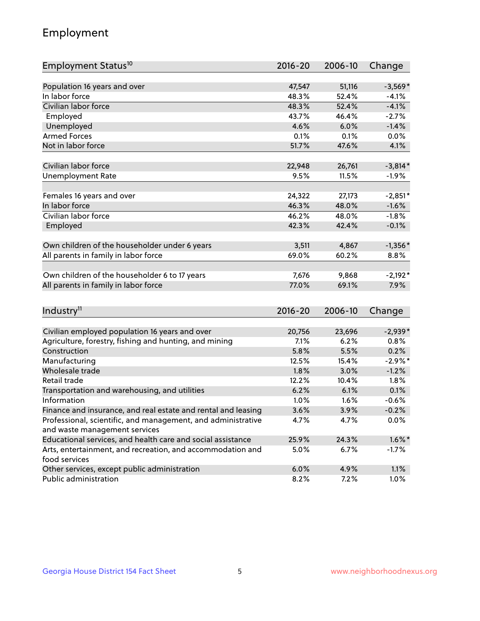## Employment

| Employment Status <sup>10</sup>                               | $2016 - 20$ | 2006-10 | Change     |
|---------------------------------------------------------------|-------------|---------|------------|
|                                                               |             |         |            |
| Population 16 years and over                                  | 47,547      | 51,116  | $-3,569*$  |
| In labor force                                                | 48.3%       | 52.4%   | $-4.1%$    |
| Civilian labor force                                          | 48.3%       | 52.4%   | $-4.1%$    |
| Employed                                                      | 43.7%       | 46.4%   | $-2.7%$    |
| Unemployed                                                    | 4.6%        | 6.0%    | $-1.4%$    |
| <b>Armed Forces</b>                                           | 0.1%        | 0.1%    | 0.0%       |
| Not in labor force                                            | 51.7%       | 47.6%   | 4.1%       |
|                                                               |             |         |            |
| Civilian labor force                                          | 22,948      | 26,761  | $-3,814*$  |
| <b>Unemployment Rate</b>                                      | 9.5%        | 11.5%   | $-1.9%$    |
| Females 16 years and over                                     | 24,322      | 27,173  | $-2,851*$  |
| In labor force                                                | 46.3%       | 48.0%   | $-1.6%$    |
| Civilian labor force                                          | 46.2%       | 48.0%   | $-1.8%$    |
| Employed                                                      | 42.3%       | 42.4%   | $-0.1%$    |
|                                                               |             |         |            |
| Own children of the householder under 6 years                 | 3,511       | 4,867   | $-1,356*$  |
| All parents in family in labor force                          | 69.0%       | 60.2%   | 8.8%       |
|                                                               | 7,676       |         |            |
| Own children of the householder 6 to 17 years                 | 77.0%       | 9,868   | $-2,192*$  |
| All parents in family in labor force                          |             | 69.1%   | 7.9%       |
|                                                               |             |         |            |
| Industry <sup>11</sup>                                        | $2016 - 20$ | 2006-10 | Change     |
| Civilian employed population 16 years and over                | 20,756      | 23,696  | $-2,939*$  |
| Agriculture, forestry, fishing and hunting, and mining        | 7.1%        | 6.2%    | 0.8%       |
| Construction                                                  | 5.8%        | 5.5%    | 0.2%       |
| Manufacturing                                                 | 12.5%       | 15.4%   | $-2.9\%$ * |
| Wholesale trade                                               | 1.8%        | 3.0%    | $-1.2%$    |
| Retail trade                                                  | 12.2%       | 10.4%   | 1.8%       |
| Transportation and warehousing, and utilities                 | 6.2%        | 6.1%    | 0.1%       |
| Information                                                   | 1.0%        | 1.6%    | $-0.6%$    |
| Finance and insurance, and real estate and rental and leasing | 3.6%        | 3.9%    | $-0.2%$    |
| Professional, scientific, and management, and administrative  | 4.7%        | 4.7%    | 0.0%       |
| and waste management services                                 |             |         |            |
| Educational services, and health care and social assistance   | 25.9%       | 24.3%   | $1.6\%$ *  |
| Arts, entertainment, and recreation, and accommodation and    | 5.0%        | 6.7%    | $-1.7%$    |
| food services                                                 |             |         |            |
| Other services, except public administration                  | 6.0%        | 4.9%    | 1.1%       |
| Public administration                                         | 8.2%        | 7.2%    | 1.0%       |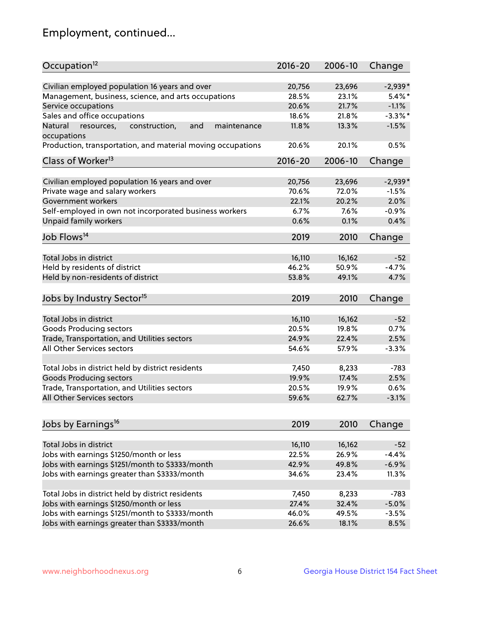## Employment, continued...

| Occupation <sup>12</sup>                                     | $2016 - 20$ | 2006-10 | Change     |
|--------------------------------------------------------------|-------------|---------|------------|
| Civilian employed population 16 years and over               | 20,756      | 23,696  | $-2,939*$  |
| Management, business, science, and arts occupations          | 28.5%       | 23.1%   | $5.4\%$ *  |
| Service occupations                                          | 20.6%       | 21.7%   | $-1.1%$    |
| Sales and office occupations                                 | 18.6%       | 21.8%   | $-3.3\%$ * |
| Natural<br>and<br>resources,<br>construction,<br>maintenance | 11.8%       | 13.3%   | $-1.5%$    |
| occupations                                                  |             |         |            |
| Production, transportation, and material moving occupations  | 20.6%       | 20.1%   | 0.5%       |
| Class of Worker <sup>13</sup>                                | $2016 - 20$ | 2006-10 | Change     |
| Civilian employed population 16 years and over               | 20,756      | 23,696  | $-2,939*$  |
| Private wage and salary workers                              | 70.6%       | 72.0%   | $-1.5%$    |
| Government workers                                           | 22.1%       | 20.2%   | 2.0%       |
| Self-employed in own not incorporated business workers       | 6.7%        | 7.6%    | $-0.9%$    |
| Unpaid family workers                                        | 0.6%        | 0.1%    | 0.4%       |
|                                                              |             |         |            |
| Job Flows <sup>14</sup>                                      | 2019        | 2010    | Change     |
| Total Jobs in district                                       | 16,110      | 16,162  | $-52$      |
| Held by residents of district                                | 46.2%       | 50.9%   | $-4.7%$    |
| Held by non-residents of district                            | 53.8%       | 49.1%   | 4.7%       |
|                                                              |             |         |            |
| Jobs by Industry Sector <sup>15</sup>                        | 2019        | 2010    | Change     |
| Total Jobs in district                                       | 16,110      | 16,162  | $-52$      |
| Goods Producing sectors                                      | 20.5%       | 19.8%   | 0.7%       |
| Trade, Transportation, and Utilities sectors                 | 24.9%       | 22.4%   | 2.5%       |
| All Other Services sectors                                   | 54.6%       | 57.9%   | $-3.3%$    |
|                                                              |             |         |            |
| Total Jobs in district held by district residents            | 7,450       | 8,233   | $-783$     |
| <b>Goods Producing sectors</b>                               | 19.9%       | 17.4%   | 2.5%       |
| Trade, Transportation, and Utilities sectors                 | 20.5%       | 19.9%   | 0.6%       |
| All Other Services sectors                                   | 59.6%       | 62.7%   | $-3.1%$    |
|                                                              |             |         |            |
| Jobs by Earnings <sup>16</sup>                               | 2019        | 2010    | Change     |
| Total Jobs in district                                       | 16,110      | 16,162  | $-52$      |
| Jobs with earnings \$1250/month or less                      | 22.5%       | 26.9%   | $-4.4%$    |
| Jobs with earnings \$1251/month to \$3333/month              | 42.9%       | 49.8%   | $-6.9%$    |
| Jobs with earnings greater than \$3333/month                 | 34.6%       | 23.4%   | 11.3%      |
|                                                              |             |         |            |
| Total Jobs in district held by district residents            | 7,450       | 8,233   | $-783$     |
| Jobs with earnings \$1250/month or less                      | 27.4%       | 32.4%   | $-5.0%$    |
| Jobs with earnings \$1251/month to \$3333/month              | 46.0%       | 49.5%   | $-3.5%$    |
| Jobs with earnings greater than \$3333/month                 | 26.6%       | 18.1%   | 8.5%       |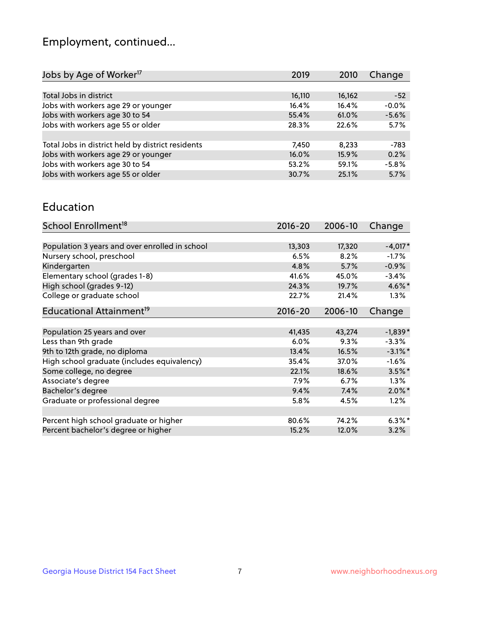## Employment, continued...

| Jobs by Age of Worker <sup>17</sup>               | 2019   | 2010   | Change  |
|---------------------------------------------------|--------|--------|---------|
|                                                   |        |        |         |
| Total Jobs in district                            | 16,110 | 16,162 | $-52$   |
| Jobs with workers age 29 or younger               | 16.4%  | 16.4%  | $-0.0%$ |
| Jobs with workers age 30 to 54                    | 55.4%  | 61.0%  | $-5.6%$ |
| Jobs with workers age 55 or older                 | 28.3%  | 22.6%  | 5.7%    |
|                                                   |        |        |         |
| Total Jobs in district held by district residents | 7,450  | 8.233  | $-783$  |
| Jobs with workers age 29 or younger               | 16.0%  | 15.9%  | 0.2%    |
| Jobs with workers age 30 to 54                    | 53.2%  | 59.1%  | $-5.8%$ |
| Jobs with workers age 55 or older                 | 30.7%  | 25.1%  | 5.7%    |
|                                                   |        |        |         |

#### Education

| School Enrollment <sup>18</sup>                | $2016 - 20$ | 2006-10 | Change     |
|------------------------------------------------|-------------|---------|------------|
|                                                |             |         |            |
| Population 3 years and over enrolled in school | 13,303      | 17,320  | $-4,017*$  |
| Nursery school, preschool                      | 6.5%        | 8.2%    | $-1.7%$    |
| Kindergarten                                   | 4.8%        | 5.7%    | $-0.9%$    |
| Elementary school (grades 1-8)                 | 41.6%       | 45.0%   | $-3.4%$    |
| High school (grades 9-12)                      | 24.3%       | 19.7%   | $4.6\%$ *  |
| College or graduate school                     | 22.7%       | 21.4%   | $1.3\%$    |
| Educational Attainment <sup>19</sup>           | $2016 - 20$ | 2006-10 | Change     |
|                                                |             |         |            |
| Population 25 years and over                   | 41,435      | 43,274  | $-1,839*$  |
| Less than 9th grade                            | 6.0%        | 9.3%    | $-3.3%$    |
| 9th to 12th grade, no diploma                  | 13.4%       | 16.5%   | $-3.1\%$ * |
| High school graduate (includes equivalency)    | 35.4%       | 37.0%   | $-1.6%$    |
| Some college, no degree                        | 22.1%       | 18.6%   | $3.5%$ *   |
| Associate's degree                             | 7.9%        | 6.7%    | 1.3%       |
| Bachelor's degree                              | 9.4%        | 7.4%    | $2.0\%$ *  |
| Graduate or professional degree                | 5.8%        | 4.5%    | 1.2%       |
|                                                |             |         |            |
| Percent high school graduate or higher         | 80.6%       | 74.2%   | $6.3\%$ *  |
| Percent bachelor's degree or higher            | 15.2%       | 12.0%   | 3.2%       |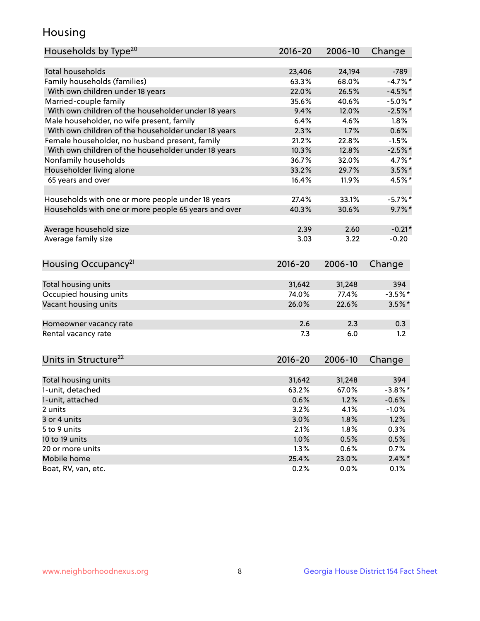## Housing

| Households by Type <sup>20</sup>                     | 2016-20       | 2006-10       | Change            |
|------------------------------------------------------|---------------|---------------|-------------------|
|                                                      |               |               |                   |
| <b>Total households</b>                              | 23,406        | 24,194        | $-789$            |
| Family households (families)                         | 63.3%         | 68.0%         | $-4.7%$ *         |
| With own children under 18 years                     | 22.0%         | 26.5%         | $-4.5%$ *         |
| Married-couple family                                | 35.6%         | 40.6%         | $-5.0\%$ *        |
| With own children of the householder under 18 years  | 9.4%          | 12.0%         | $-2.5%$ *         |
| Male householder, no wife present, family            | 6.4%          | 4.6%          | 1.8%              |
| With own children of the householder under 18 years  | 2.3%          | 1.7%          | 0.6%              |
| Female householder, no husband present, family       | 21.2%         | 22.8%         | $-1.5%$           |
| With own children of the householder under 18 years  | 10.3%         | 12.8%         | $-2.5%$ *         |
| Nonfamily households                                 | 36.7%         | 32.0%         | 4.7%*             |
| Householder living alone                             | 33.2%         | 29.7%         | $3.5\%$ *         |
| 65 years and over                                    | 16.4%         | 11.9%         | 4.5%*             |
|                                                      |               |               |                   |
| Households with one or more people under 18 years    | 27.4%         | 33.1%         | $-5.7\%$ *        |
| Households with one or more people 65 years and over | 40.3%         | 30.6%         | $9.7\%$ *         |
|                                                      |               |               |                   |
| Average household size                               | 2.39          | 2.60          | $-0.21*$          |
| Average family size                                  | 3.03          | 3.22          | $-0.20$           |
|                                                      |               |               |                   |
| Housing Occupancy <sup>21</sup>                      | $2016 - 20$   | 2006-10       | Change            |
| Total housing units                                  | 31,642        | 31,248        | 394               |
| Occupied housing units                               | 74.0%         | 77.4%         | $-3.5%$ *         |
| Vacant housing units                                 | 26.0%         | 22.6%         | $3.5\%$ *         |
|                                                      |               |               |                   |
| Homeowner vacancy rate                               | 2.6           | 2.3           | 0.3               |
| Rental vacancy rate                                  | 7.3           | 6.0           | 1.2               |
|                                                      |               |               |                   |
| Units in Structure <sup>22</sup>                     | 2016-20       | 2006-10       | Change            |
|                                                      |               |               |                   |
| Total housing units                                  | 31,642        | 31,248        | 394               |
| 1-unit, detached                                     | 63.2%         | 67.0%         | $-3.8\%$ *        |
| 1-unit, attached                                     | 0.6%          | 1.2%          | $-0.6%$           |
| 2 units                                              | 3.2%          | 4.1%          | $-1.0%$           |
| 3 or 4 units                                         | 3.0%          | 1.8%          | 1.2%              |
| 5 to 9 units                                         | 2.1%          | 1.8%          | 0.3%              |
| 10 to 19 units                                       | 1.0%          | 0.5%          | 0.5%              |
| 20 or more units                                     | 1.3%          | 0.6%          | 0.7%              |
| Mobile home                                          |               |               |                   |
| Boat, RV, van, etc.                                  | 25.4%<br>0.2% | 23.0%<br>0.0% | $2.4\%$ *<br>0.1% |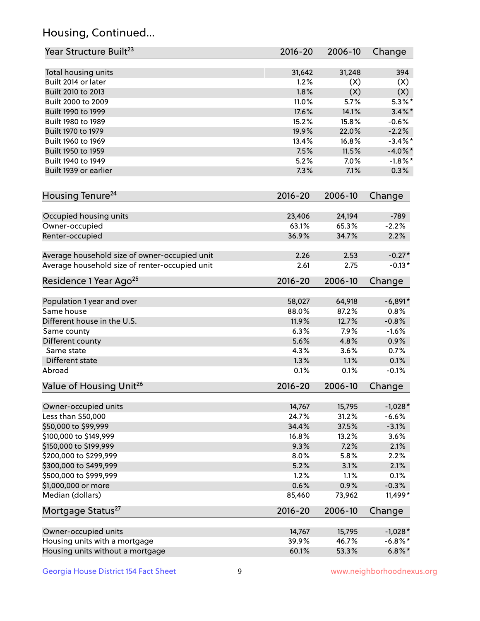## Housing, Continued...

| Year Structure Built <sup>23</sup>             | 2016-20     | 2006-10 | Change     |
|------------------------------------------------|-------------|---------|------------|
| Total housing units                            | 31,642      | 31,248  | 394        |
| Built 2014 or later                            | 1.2%        | (X)     | (X)        |
| Built 2010 to 2013                             | 1.8%        | (X)     | (X)        |
| Built 2000 to 2009                             | 11.0%       | 5.7%    | $5.3\%$ *  |
| Built 1990 to 1999                             | 17.6%       | 14.1%   | $3.4\%$ *  |
| Built 1980 to 1989                             | 15.2%       | 15.8%   | $-0.6%$    |
| Built 1970 to 1979                             | 19.9%       | 22.0%   | $-2.2%$    |
| Built 1960 to 1969                             | 13.4%       | 16.8%   | $-3.4\%$ * |
| Built 1950 to 1959                             | 7.5%        | 11.5%   | $-4.0\%$ * |
| Built 1940 to 1949                             | 5.2%        | 7.0%    | $-1.8\%$ * |
| Built 1939 or earlier                          | 7.3%        | 7.1%    | 0.3%       |
| Housing Tenure <sup>24</sup>                   | $2016 - 20$ | 2006-10 | Change     |
| Occupied housing units                         | 23,406      | 24,194  | $-789$     |
| Owner-occupied                                 | 63.1%       | 65.3%   | $-2.2%$    |
| Renter-occupied                                | 36.9%       | 34.7%   | 2.2%       |
| Average household size of owner-occupied unit  | 2.26        | 2.53    | $-0.27*$   |
| Average household size of renter-occupied unit | 2.61        | 2.75    | $-0.13*$   |
| Residence 1 Year Ago <sup>25</sup>             | $2016 - 20$ | 2006-10 | Change     |
| Population 1 year and over                     | 58,027      | 64,918  | $-6,891*$  |
| Same house                                     | 88.0%       | 87.2%   | 0.8%       |
| Different house in the U.S.                    | 11.9%       | 12.7%   | $-0.8%$    |
| Same county                                    | 6.3%        | 7.9%    | $-1.6%$    |
| Different county                               | 5.6%        | 4.8%    | 0.9%       |
| Same state                                     | 4.3%        | 3.6%    | 0.7%       |
| Different state                                | 1.3%        | 1.1%    | 0.1%       |
| Abroad                                         | 0.1%        | 0.1%    | $-0.1%$    |
| Value of Housing Unit <sup>26</sup>            | $2016 - 20$ | 2006-10 | Change     |
| Owner-occupied units                           | 14,767      | 15,795  | $-1,028*$  |
| Less than \$50,000                             | 24.7%       | 31.2%   | $-6.6%$    |
| \$50,000 to \$99,999                           | 34.4%       | 37.5%   | $-3.1%$    |
| \$100,000 to \$149,999                         | 16.8%       | 13.2%   | 3.6%       |
| \$150,000 to \$199,999                         | 9.3%        | 7.2%    | 2.1%       |
| \$200,000 to \$299,999                         | 8.0%        | 5.8%    | 2.2%       |
| \$300,000 to \$499,999                         | 5.2%        | 3.1%    | 2.1%       |
| \$500,000 to \$999,999                         | 1.2%        | 1.1%    | 0.1%       |
| \$1,000,000 or more                            | 0.6%        | 0.9%    | $-0.3%$    |
| Median (dollars)                               | 85,460      | 73,962  | 11,499*    |
| Mortgage Status <sup>27</sup>                  | $2016 - 20$ | 2006-10 | Change     |
| Owner-occupied units                           | 14,767      | 15,795  | $-1,028*$  |
| Housing units with a mortgage                  | 39.9%       | 46.7%   | $-6.8\%$ * |
| Housing units without a mortgage               | 60.1%       | 53.3%   | $6.8\%$ *  |
|                                                |             |         |            |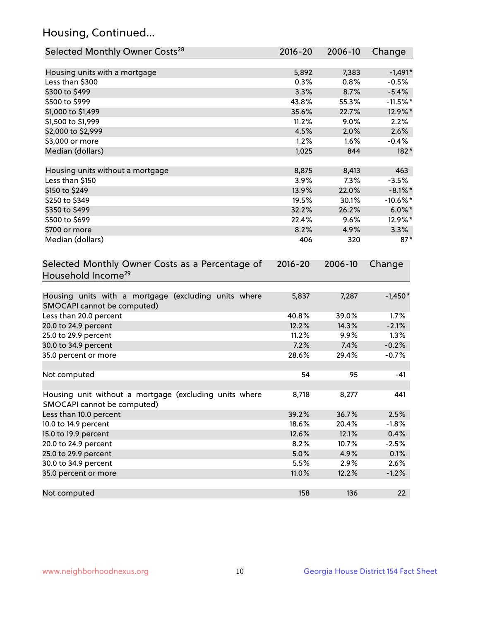## Housing, Continued...

| Selected Monthly Owner Costs <sup>28</sup>                                            | 2016-20 | 2006-10 | Change      |
|---------------------------------------------------------------------------------------|---------|---------|-------------|
| Housing units with a mortgage                                                         | 5,892   | 7,383   | $-1,491*$   |
| Less than \$300                                                                       | 0.3%    | 0.8%    | $-0.5%$     |
| \$300 to \$499                                                                        | 3.3%    | 8.7%    | $-5.4%$     |
| \$500 to \$999                                                                        | 43.8%   | 55.3%   | $-11.5%$ *  |
| \$1,000 to \$1,499                                                                    | 35.6%   | 22.7%   | 12.9%*      |
| \$1,500 to \$1,999                                                                    | 11.2%   | 9.0%    | 2.2%        |
| \$2,000 to \$2,999                                                                    | 4.5%    | 2.0%    | 2.6%        |
| \$3,000 or more                                                                       | 1.2%    | 1.6%    | $-0.4%$     |
| Median (dollars)                                                                      | 1,025   | 844     | 182*        |
| Housing units without a mortgage                                                      | 8,875   | 8,413   | 463         |
| Less than \$150                                                                       | 3.9%    | 7.3%    | $-3.5%$     |
| \$150 to \$249                                                                        | 13.9%   | 22.0%   | $-8.1\%$ *  |
| \$250 to \$349                                                                        | 19.5%   | 30.1%   | $-10.6\%$ * |
| \$350 to \$499                                                                        | 32.2%   | 26.2%   | $6.0\%$ *   |
| \$500 to \$699                                                                        | 22.4%   | 9.6%    | 12.9%*      |
| \$700 or more                                                                         | 8.2%    | 4.9%    | 3.3%        |
| Median (dollars)                                                                      | 406     | 320     | $87*$       |
| Selected Monthly Owner Costs as a Percentage of<br>Household Income <sup>29</sup>     |         |         | Change      |
| Housing units with a mortgage (excluding units where<br>SMOCAPI cannot be computed)   | 5,837   | 7,287   | $-1,450*$   |
| Less than 20.0 percent                                                                | 40.8%   | 39.0%   | 1.7%        |
| 20.0 to 24.9 percent                                                                  | 12.2%   | 14.3%   | $-2.1%$     |
| 25.0 to 29.9 percent                                                                  | 11.2%   | 9.9%    | 1.3%        |
| 30.0 to 34.9 percent                                                                  | 7.2%    | 7.4%    | $-0.2%$     |
| 35.0 percent or more                                                                  | 28.6%   | 29.4%   | $-0.7%$     |
| Not computed                                                                          | 54      | 95      | $-41$       |
| Housing unit without a mortgage (excluding units where<br>SMOCAPI cannot be computed) | 8,718   | 8,277   | 441         |
| Less than 10.0 percent                                                                | 39.2%   | 36.7%   | 2.5%        |
| 10.0 to 14.9 percent                                                                  | 18.6%   | 20.4%   | $-1.8%$     |
| 15.0 to 19.9 percent                                                                  | 12.6%   | 12.1%   | 0.4%        |
| 20.0 to 24.9 percent                                                                  | 8.2%    | 10.7%   | $-2.5%$     |
| 25.0 to 29.9 percent                                                                  | 5.0%    | 4.9%    | 0.1%        |
| 30.0 to 34.9 percent                                                                  | 5.5%    | 2.9%    | 2.6%        |
| 35.0 percent or more                                                                  | 11.0%   | 12.2%   | $-1.2%$     |
| Not computed                                                                          | 158     | 136     | 22          |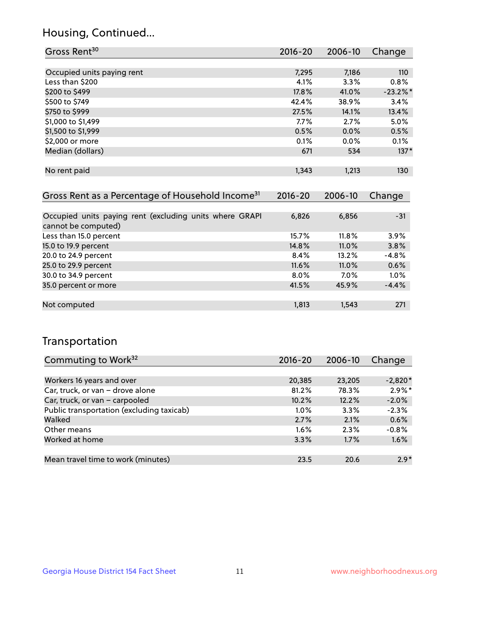## Housing, Continued...

| Gross Rent <sup>30</sup>                                     | 2016-20     | 2006-10 | Change      |
|--------------------------------------------------------------|-------------|---------|-------------|
|                                                              |             |         |             |
| Occupied units paying rent                                   | 7,295       | 7,186   | 110         |
| Less than \$200                                              | 4.1%        | 3.3%    | $0.8\%$     |
| \$200 to \$499                                               | 17.8%       | 41.0%   | $-23.2\%$ * |
| \$500 to \$749                                               | 42.4%       | 38.9%   | 3.4%        |
| \$750 to \$999                                               | 27.5%       | 14.1%   | 13.4%       |
| \$1,000 to \$1,499                                           | $7.7\%$     | 2.7%    | 5.0%        |
| \$1,500 to \$1,999                                           | 0.5%        | 0.0%    | 0.5%        |
| \$2,000 or more                                              | $0.1\%$     | $0.0\%$ | 0.1%        |
| Median (dollars)                                             | 671         | 534     | $137*$      |
|                                                              |             |         |             |
| No rent paid                                                 | 1,343       | 1,213   | 130         |
|                                                              |             |         |             |
| Gross Rent as a Percentage of Household Income <sup>31</sup> | $2016 - 20$ | 2006-10 | Change      |
|                                                              |             |         |             |
| Occupied units paying rent (excluding units where GRAPI      | 6,826       | 6,856   | $-31$       |
| cannot be computed)                                          |             |         |             |
| Less than 15.0 percent                                       | 15.7%       | 11.8%   | 3.9%        |
| 15.0 to 19.9 percent                                         | 14.8%       | 11.0%   | 3.8%        |
| 20.0 to 24.9 percent                                         | 8.4%        | 13.2%   | $-4.8%$     |

| 25.0 to 29.9 percent | $11.6\%$ | $11.0\%$ | $0.6\%$ |
|----------------------|----------|----------|---------|
| 30.0 to 34.9 percent | $8.0\%$  | 7.0%     | $1.0\%$ |
| 35.0 percent or more | 41.5%    | 45.9%    | $-4.4%$ |
|                      |          |          |         |
| Not computed         | 1.813    | 1.543    | 271     |
|                      |          |          |         |

## Transportation

| Commuting to Work <sup>32</sup>           | 2016-20 | 2006-10 | Change    |
|-------------------------------------------|---------|---------|-----------|
|                                           |         |         |           |
| Workers 16 years and over                 | 20,385  | 23,205  | $-2,820*$ |
| Car, truck, or van - drove alone          | 81.2%   | 78.3%   | $2.9\%$ * |
| Car, truck, or van - carpooled            | 10.2%   | 12.2%   | $-2.0%$   |
| Public transportation (excluding taxicab) | $1.0\%$ | 3.3%    | $-2.3%$   |
| Walked                                    | 2.7%    | 2.1%    | 0.6%      |
| Other means                               | $1.6\%$ | 2.3%    | $-0.8%$   |
| Worked at home                            | 3.3%    | 1.7%    | 1.6%      |
|                                           |         |         |           |
| Mean travel time to work (minutes)        | 23.5    | 20.6    | $2.9*$    |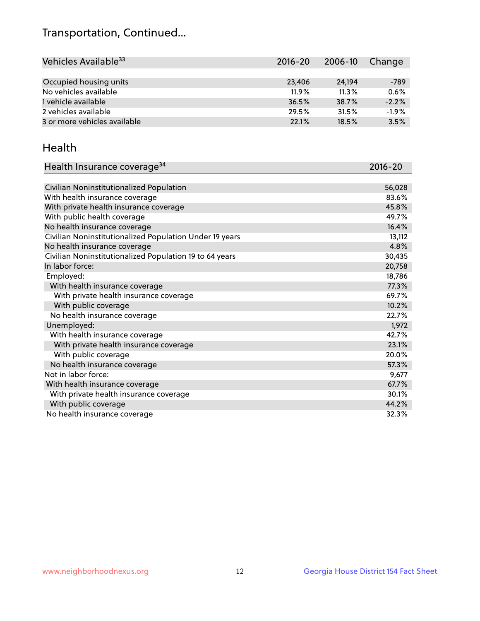## Transportation, Continued...

| Vehicles Available <sup>33</sup> | 2016-20  | 2006-10 | Change  |
|----------------------------------|----------|---------|---------|
|                                  |          |         |         |
| Occupied housing units           | 23,406   | 24.194  | -789    |
| No vehicles available            | $11.9\%$ | 11.3%   | 0.6%    |
| 1 vehicle available              | 36.5%    | 38.7%   | $-2.2%$ |
| 2 vehicles available             | 29.5%    | 31.5%   | $-1.9%$ |
| 3 or more vehicles available     | 22.1%    | 18.5%   | 3.5%    |

#### Health

| Health Insurance coverage <sup>34</sup>                 | 2016-20 |
|---------------------------------------------------------|---------|
|                                                         |         |
| Civilian Noninstitutionalized Population                | 56,028  |
| With health insurance coverage                          | 83.6%   |
| With private health insurance coverage                  | 45.8%   |
| With public health coverage                             | 49.7%   |
| No health insurance coverage                            | 16.4%   |
| Civilian Noninstitutionalized Population Under 19 years | 13,112  |
| No health insurance coverage                            | 4.8%    |
| Civilian Noninstitutionalized Population 19 to 64 years | 30,435  |
| In labor force:                                         | 20,758  |
| Employed:                                               | 18,786  |
| With health insurance coverage                          | 77.3%   |
| With private health insurance coverage                  | 69.7%   |
| With public coverage                                    | 10.2%   |
| No health insurance coverage                            | 22.7%   |
| Unemployed:                                             | 1,972   |
| With health insurance coverage                          | 42.7%   |
| With private health insurance coverage                  | 23.1%   |
| With public coverage                                    | 20.0%   |
| No health insurance coverage                            | 57.3%   |
| Not in labor force:                                     | 9,677   |
| With health insurance coverage                          | 67.7%   |
| With private health insurance coverage                  | 30.1%   |
| With public coverage                                    | 44.2%   |
| No health insurance coverage                            | 32.3%   |